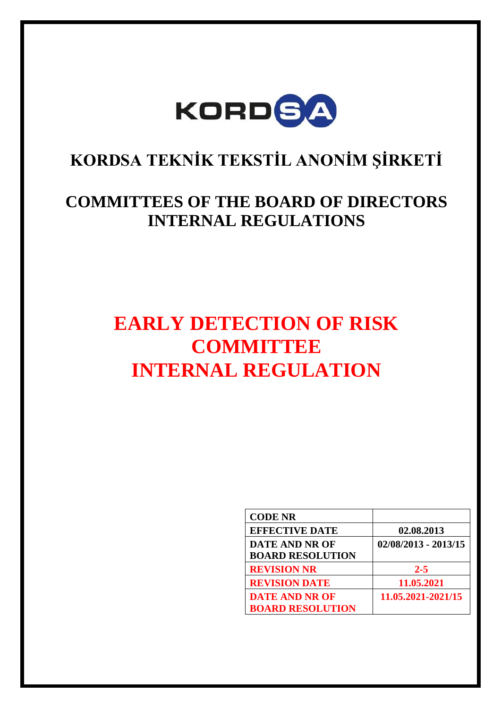

# **KORDSA TEKNİK TEKSTİL ANONİM ŞİRKETİ**

# **COMMITTEES OF THE BOARD OF DIRECTORS INTERNAL REGULATIONS**

# **EARLY DETECTION OF RISK COMMITTEE INTERNAL REGULATION**

| <b>CODE NR</b>          |                        |
|-------------------------|------------------------|
| <b>EFFECTIVE DATE</b>   | 02.08.2013             |
| <b>DATE AND NR OF</b>   | $02/08/2013 - 2013/15$ |
| <b>BOARD RESOLUTION</b> |                        |
| <b>REVISION NR</b>      | $2 - 5$                |
| <b>REVISION DATE</b>    | 11.05.2021             |
| <b>DATE AND NR OF</b>   | 11.05.2021-2021/15     |
| <b>BOARD RESOLUTION</b> |                        |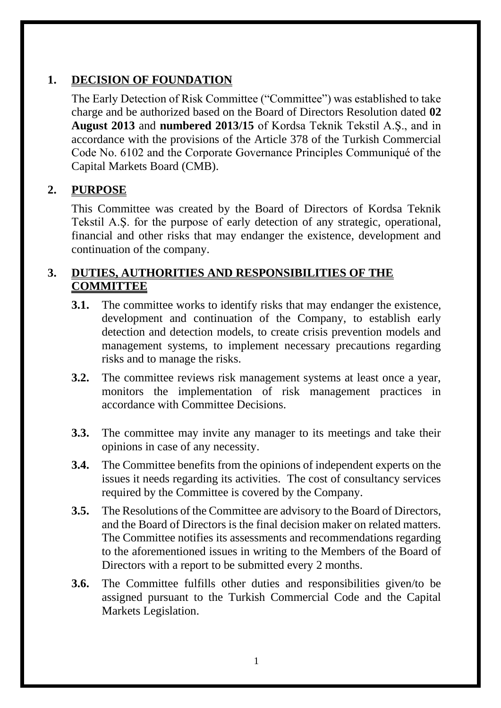# **1. DECISION OF FOUNDATION**

The Early Detection of Risk Committee ("Committee") was established to take charge and be authorized based on the Board of Directors Resolution dated **02 August 2013** and **numbered 2013/15** of Kordsa Teknik Tekstil A.Ş., and in accordance with the provisions of the Article 378 of the Turkish Commercial Code No. 6102 and the Corporate Governance Principles Communiqué of the Capital Markets Board (CMB).

# **2. PURPOSE**

This Committee was created by the Board of Directors of Kordsa Teknik Tekstil A.Ş. for the purpose of early detection of any strategic, operational, financial and other risks that may endanger the existence, development and continuation of the company.

#### **3. DUTIES, AUTHORITIES AND RESPONSIBILITIES OF THE COMMITTEE**

- **3.1.** The committee works to identify risks that may endanger the existence, development and continuation of the Company, to establish early detection and detection models, to create crisis prevention models and management systems, to implement necessary precautions regarding risks and to manage the risks.
- **3.2.** The committee reviews risk management systems at least once a year, monitors the implementation of risk management practices in accordance with Committee Decisions.
- **3.3.** The committee may invite any manager to its meetings and take their opinions in case of any necessity.
- **3.4.** The Committee benefits from the opinions of independent experts on the issues it needs regarding its activities. The cost of consultancy services required by the Committee is covered by the Company.
- **3.5.** The Resolutions of the Committee are advisory to the Board of Directors, and the Board of Directors is the final decision maker on related matters. The Committee notifies its assessments and recommendations regarding to the aforementioned issues in writing to the Members of the Board of Directors with a report to be submitted every 2 months.
- **3.6.** The Committee fulfills other duties and responsibilities given/to be assigned pursuant to the Turkish Commercial Code and the Capital Markets Legislation.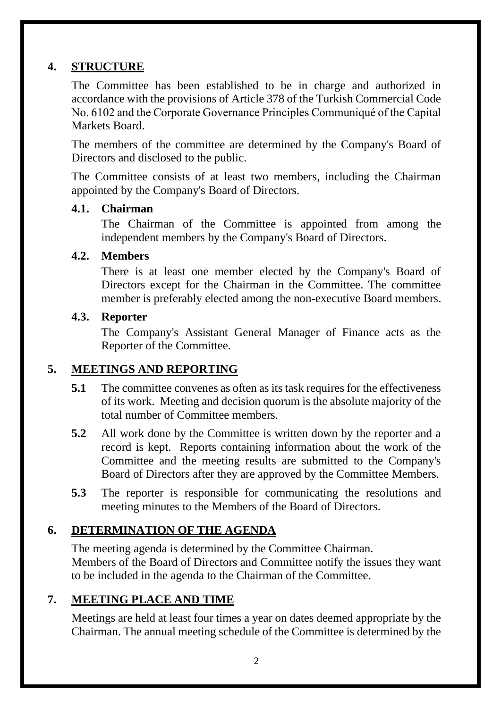### **4. STRUCTURE**

The Committee has been established to be in charge and authorized in accordance with the provisions of Article 378 of the Turkish Commercial Code No. 6102 and the Corporate Governance Principles Communiqué of the Capital Markets Board.

The members of the committee are determined by the Company's Board of Directors and disclosed to the public.

The Committee consists of at least two members, including the Chairman appointed by the Company's Board of Directors.

#### **4.1. Chairman**

The Chairman of the Committee is appointed from among the independent members by the Company's Board of Directors.

#### **4.2. Members**

There is at least one member elected by the Company's Board of Directors except for the Chairman in the Committee. The committee member is preferably elected among the non-executive Board members.

#### **4.3. Reporter**

The Company's Assistant General Manager of Finance acts as the Reporter of the Committee.

#### **5. MEETINGS AND REPORTING**

- **5.1** The committee convenes as often as its task requires for the effectiveness of its work. Meeting and decision quorum is the absolute majority of the total number of Committee members.
- **5.2** All work done by the Committee is written down by the reporter and a record is kept. Reports containing information about the work of the Committee and the meeting results are submitted to the Company's Board of Directors after they are approved by the Committee Members.
- **5.3** The reporter is responsible for communicating the resolutions and meeting minutes to the Members of the Board of Directors.

# **6. DETERMINATION OF THE AGENDA**

The meeting agenda is determined by the Committee Chairman. Members of the Board of Directors and Committee notify the issues they want to be included in the agenda to the Chairman of the Committee.

#### **7. MEETING PLACE AND TIME**

Meetings are held at least four times a year on dates deemed appropriate by the Chairman. The annual meeting schedule of the Committee is determined by the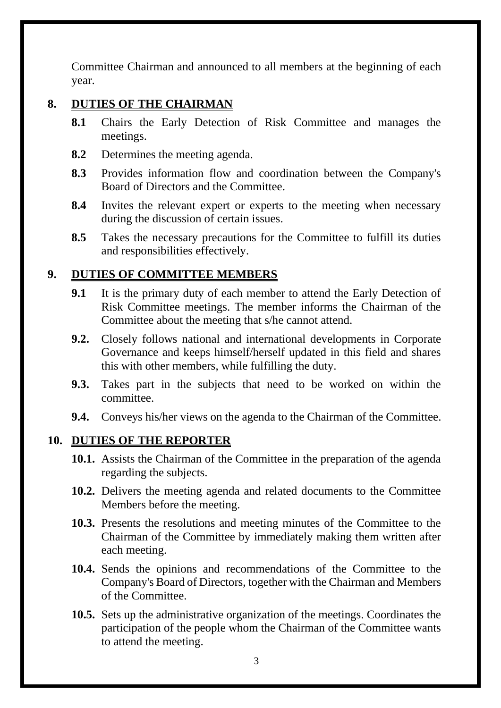Committee Chairman and announced to all members at the beginning of each year.

# **8. DUTIES OF THE CHAIRMAN**

- **8.1** Chairs the Early Detection of Risk Committee and manages the meetings.
- **8.2** Determines the meeting agenda.
- **8.3** Provides information flow and coordination between the Company's Board of Directors and the Committee.
- **8.4** Invites the relevant expert or experts to the meeting when necessary during the discussion of certain issues.
- **8.5** Takes the necessary precautions for the Committee to fulfill its duties and responsibilities effectively.

# **9. DUTIES OF COMMITTEE MEMBERS**

- **9.1** It is the primary duty of each member to attend the Early Detection of Risk Committee meetings. The member informs the Chairman of the Committee about the meeting that s/he cannot attend.
- **9.2.** Closely follows national and international developments in Corporate Governance and keeps himself/herself updated in this field and shares this with other members, while fulfilling the duty.
- **9.3.** Takes part in the subjects that need to be worked on within the committee.
- **9.4.** Conveys his/her views on the agenda to the Chairman of the Committee.

#### **10. DUTIES OF THE REPORTER**

- **10.1.** Assists the Chairman of the Committee in the preparation of the agenda regarding the subjects.
- **10.2.** Delivers the meeting agenda and related documents to the Committee Members before the meeting.
- **10.3.** Presents the resolutions and meeting minutes of the Committee to the Chairman of the Committee by immediately making them written after each meeting.
- **10.4.** Sends the opinions and recommendations of the Committee to the Company's Board of Directors, together with the Chairman and Members of the Committee.
- **10.5.** Sets up the administrative organization of the meetings. Coordinates the participation of the people whom the Chairman of the Committee wants to attend the meeting.